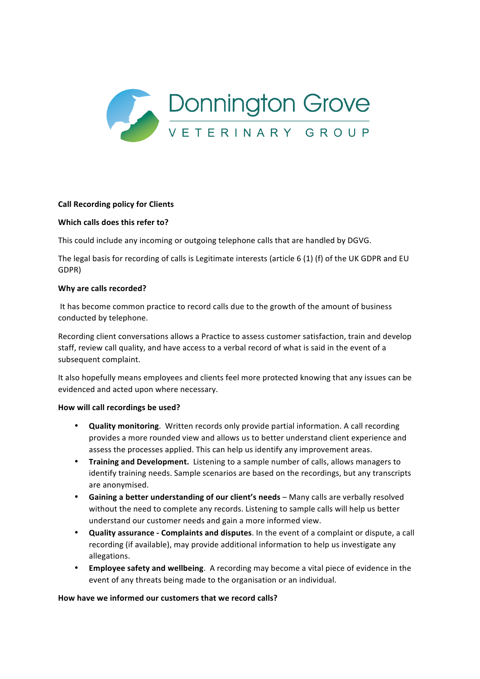

## **Call Recording policy for Clients**

## **Which calls does this refer to?**

This could include any incoming or outgoing telephone calls that are handled by DGVG.

The legal basis for recording of calls is Legitimate interests (article  $6(1)$  (f) of the UK GDPR and EU GDPR) 

### **Why are calls recorded?**

It has become common practice to record calls due to the growth of the amount of business conducted by telephone.

Recording client conversations allows a Practice to assess customer satisfaction, train and develop staff, review call quality, and have access to a verbal record of what is said in the event of a subsequent complaint.

It also hopefully means employees and clients feel more protected knowing that any issues can be evidenced and acted upon where necessary.

## How will call recordings be used?

- **Quality monitoring**. Written records only provide partial information. A call recording provides a more rounded view and allows us to better understand client experience and assess the processes applied. This can help us identify any improvement areas.
- Training and Development. Listening to a sample number of calls, allows managers to identify training needs. Sample scenarios are based on the recordings, but any transcripts are anonymised.
- Gaining a better understanding of our client's needs Many calls are verbally resolved without the need to complete any records. Listening to sample calls will help us better understand our customer needs and gain a more informed view.
- **Quality assurance Complaints and disputes**. In the event of a complaint or dispute, a call recording (if available), may provide additional information to help us investigate any allegations.
- **Employee safety and wellbeing**. A recording may become a vital piece of evidence in the event of any threats being made to the organisation or an individual.

## How have we informed our customers that we record calls?